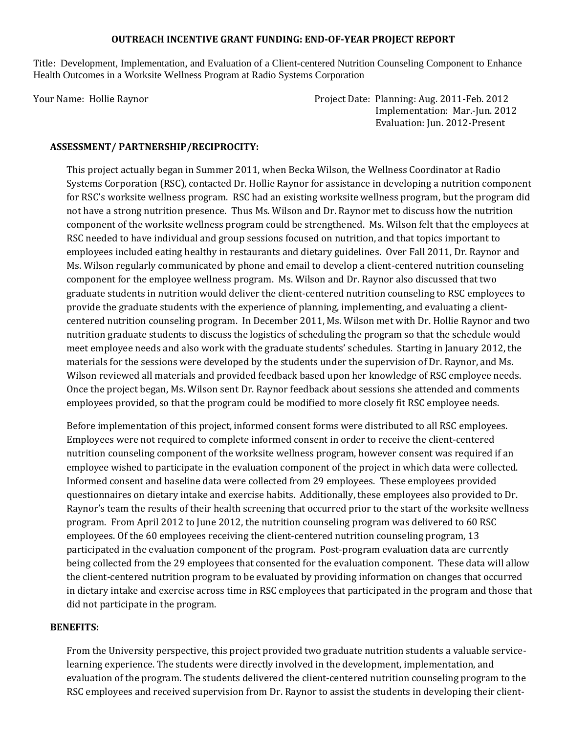#### **OUTREACH INCENTIVE GRANT FUNDING: END‐OF‐YEAR PROJECT REPORT**

Title: Development, Implementation, and Evaluation of a Client-centered Nutrition Counseling Component to Enhance Health Outcomes in a Worksite Wellness Program at Radio Systems Corporation

Your Name: Hollie Raynor Project Date: Planning: Aug. 2011‐Feb. 2012 Implementation: Mar.-Jun. 2012 Evaluation: Jun. 2012-Present

### **ASSESSMENT/ PARTNERSHIP/RECIPROCITY:**

This project actually began in Summer 2011, when Becka Wilson, the Wellness Coordinator at Radio Systems Corporation (RSC), contacted Dr. Hollie Raynor for assistance in developing a nutrition component for RSC's worksite wellness program. RSC had an existing worksite wellness program, but the program did not have a strong nutrition presence. Thus Ms. Wilson and Dr. Raynor met to discuss how the nutrition component of the worksite wellness program could be strengthened. Ms. Wilson felt that the employees at RSC needed to have individual and group sessions focused on nutrition, and that topics important to employees included eating healthy in restaurants and dietary guidelines. Over Fall 2011, Dr. Raynor and Ms. Wilson regularly communicated by phone and email to develop a client-centered nutrition counseling component for the employee wellness program. Ms. Wilson and Dr. Raynor also discussed that two graduate students in nutrition would deliver the client-centered nutrition counseling to RSC employees to provide the graduate students with the experience of planning, implementing, and evaluating a clientcentered nutrition counseling program. In December 2011, Ms. Wilson met with Dr. Hollie Raynor and two nutrition graduate students to discuss the logistics of scheduling the program so that the schedule would meet employee needs and also work with the graduate students' schedules. Starting in January 2012, the materials for the sessions were developed by the students under the supervision of Dr. Raynor, and Ms. Wilson reviewed all materials and provided feedback based upon her knowledge of RSC employee needs. Once the project began, Ms. Wilson sent Dr. Raynor feedback about sessions she attended and comments employees provided, so that the program could be modified to more closely fit RSC employee needs.

Before implementation of this project, informed consent forms were distributed to all RSC employees. Employees were not required to complete informed consent in order to receive the client-centered nutrition counseling component of the worksite wellness program, however consent was required if an employee wished to participate in the evaluation component of the project in which data were collected. Informed consent and baseline data were collected from 29 employees. These employees provided questionnaires on dietary intake and exercise habits. Additionally, these employees also provided to Dr. Raynor's team the results of their health screening that occurred prior to the start of the worksite wellness program. From April 2012 to June 2012, the nutrition counseling program was delivered to 60 RSC employees. Of the 60 employees receiving the client-centered nutrition counseling program, 13 participated in the evaluation component of the program. Post-program evaluation data are currently being collected from the 29 employees that consented for the evaluation component. These data will allow the client-centered nutrition program to be evaluated by providing information on changes that occurred in dietary intake and exercise across time in RSC employees that participated in the program and those that did not participate in the program.

#### **BENEFITS:**

From the University perspective, this project provided two graduate nutrition students a valuable servicelearning experience. The students were directly involved in the development, implementation, and evaluation of the program. The students delivered the client-centered nutrition counseling program to the RSC employees and received supervision from Dr. Raynor to assist the students in developing their client